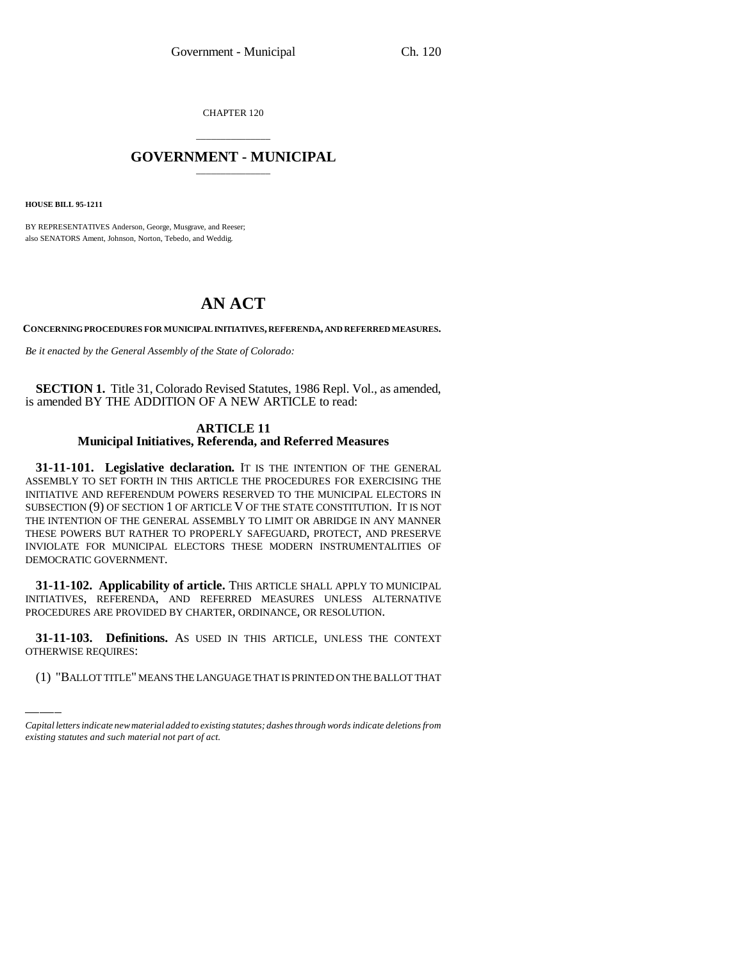CHAPTER 120

# \_\_\_\_\_\_\_\_\_\_\_\_\_\_\_ **GOVERNMENT - MUNICIPAL** \_\_\_\_\_\_\_\_\_\_\_\_\_\_\_

**HOUSE BILL 95-1211**

BY REPRESENTATIVES Anderson, George, Musgrave, and Reeser; also SENATORS Ament, Johnson, Norton, Tebedo, and Weddig.

# **AN ACT**

**CONCERNING PROCEDURES FOR MUNICIPAL INITIATIVES, REFERENDA, AND REFERRED MEASURES.**

*Be it enacted by the General Assembly of the State of Colorado:*

**SECTION 1.** Title 31, Colorado Revised Statutes, 1986 Repl. Vol., as amended, is amended BY THE ADDITION OF A NEW ARTICLE to read:

# **ARTICLE 11 Municipal Initiatives, Referenda, and Referred Measures**

**31-11-101. Legislative declaration.** IT IS THE INTENTION OF THE GENERAL ASSEMBLY TO SET FORTH IN THIS ARTICLE THE PROCEDURES FOR EXERCISING THE INITIATIVE AND REFERENDUM POWERS RESERVED TO THE MUNICIPAL ELECTORS IN SUBSECTION (9) OF SECTION 1 OF ARTICLE V OF THE STATE CONSTITUTION. IT IS NOT THE INTENTION OF THE GENERAL ASSEMBLY TO LIMIT OR ABRIDGE IN ANY MANNER THESE POWERS BUT RATHER TO PROPERLY SAFEGUARD, PROTECT, AND PRESERVE INVIOLATE FOR MUNICIPAL ELECTORS THESE MODERN INSTRUMENTALITIES OF DEMOCRATIC GOVERNMENT.

PROCEDURES ARE PROVIDED BY CHARTER, ORDINANCE, OR RESOLUTION. **31-11-102. Applicability of article.** THIS ARTICLE SHALL APPLY TO MUNICIPAL INITIATIVES, REFERENDA, AND REFERRED MEASURES UNLESS ALTERNATIVE

**31-11-103. Definitions.** AS USED IN THIS ARTICLE, UNLESS THE CONTEXT OTHERWISE REQUIRES:

(1) "BALLOT TITLE" MEANS THE LANGUAGE THAT IS PRINTED ON THE BALLOT THAT

*Capital letters indicate new material added to existing statutes; dashes through words indicate deletions from existing statutes and such material not part of act.*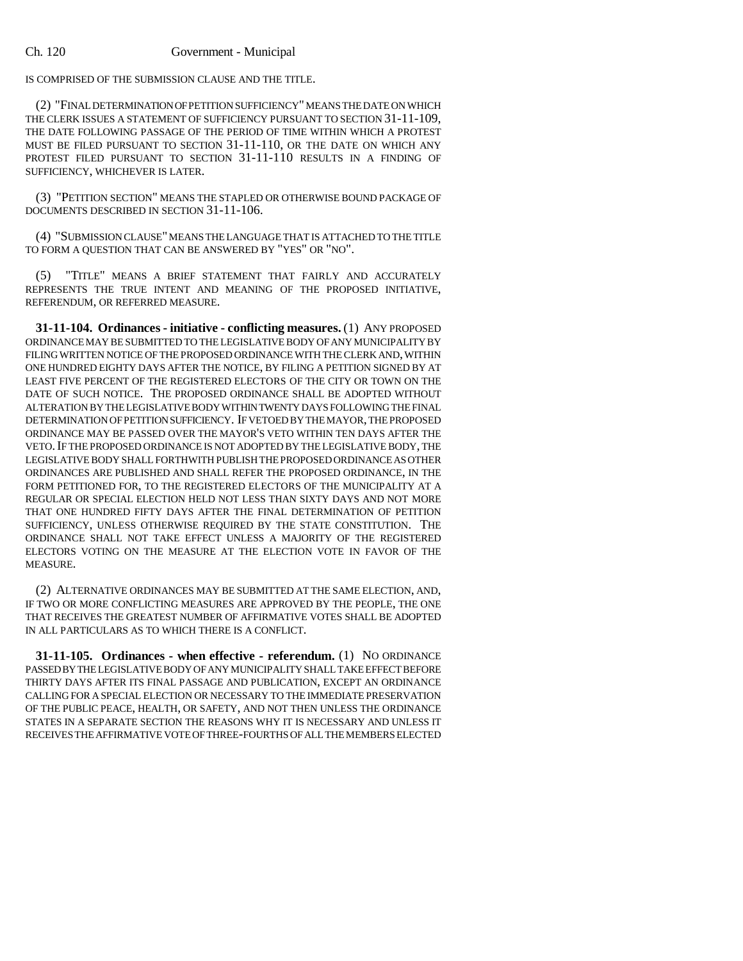IS COMPRISED OF THE SUBMISSION CLAUSE AND THE TITLE.

(2) "FINAL DETERMINATION OF PETITION SUFFICIENCY" MEANS THE DATE ON WHICH THE CLERK ISSUES A STATEMENT OF SUFFICIENCY PURSUANT TO SECTION 31-11-109, THE DATE FOLLOWING PASSAGE OF THE PERIOD OF TIME WITHIN WHICH A PROTEST MUST BE FILED PURSUANT TO SECTION 31-11-110, OR THE DATE ON WHICH ANY PROTEST FILED PURSUANT TO SECTION 31-11-110 RESULTS IN A FINDING OF SUFFICIENCY, WHICHEVER IS LATER.

(3) "PETITION SECTION" MEANS THE STAPLED OR OTHERWISE BOUND PACKAGE OF DOCUMENTS DESCRIBED IN SECTION 31-11-106.

(4) "SUBMISSION CLAUSE" MEANS THE LANGUAGE THAT IS ATTACHED TO THE TITLE TO FORM A QUESTION THAT CAN BE ANSWERED BY "YES" OR "NO".

(5) "TITLE" MEANS A BRIEF STATEMENT THAT FAIRLY AND ACCURATELY REPRESENTS THE TRUE INTENT AND MEANING OF THE PROPOSED INITIATIVE, REFERENDUM, OR REFERRED MEASURE.

**31-11-104. Ordinances - initiative - conflicting measures.** (1) ANY PROPOSED ORDINANCE MAY BE SUBMITTED TO THE LEGISLATIVE BODY OF ANY MUNICIPALITY BY FILING WRITTEN NOTICE OF THE PROPOSED ORDINANCE WITH THE CLERK AND, WITHIN ONE HUNDRED EIGHTY DAYS AFTER THE NOTICE, BY FILING A PETITION SIGNED BY AT LEAST FIVE PERCENT OF THE REGISTERED ELECTORS OF THE CITY OR TOWN ON THE DATE OF SUCH NOTICE. THE PROPOSED ORDINANCE SHALL BE ADOPTED WITHOUT ALTERATION BY THE LEGISLATIVE BODY WITHIN TWENTY DAYS FOLLOWING THE FINAL DETERMINATION OF PETITION SUFFICIENCY. IF VETOED BY THE MAYOR, THE PROPOSED ORDINANCE MAY BE PASSED OVER THE MAYOR'S VETO WITHIN TEN DAYS AFTER THE VETO.IF THE PROPOSED ORDINANCE IS NOT ADOPTED BY THE LEGISLATIVE BODY, THE LEGISLATIVE BODY SHALL FORTHWITH PUBLISH THE PROPOSED ORDINANCE AS OTHER ORDINANCES ARE PUBLISHED AND SHALL REFER THE PROPOSED ORDINANCE, IN THE FORM PETITIONED FOR, TO THE REGISTERED ELECTORS OF THE MUNICIPALITY AT A REGULAR OR SPECIAL ELECTION HELD NOT LESS THAN SIXTY DAYS AND NOT MORE THAT ONE HUNDRED FIFTY DAYS AFTER THE FINAL DETERMINATION OF PETITION SUFFICIENCY, UNLESS OTHERWISE REQUIRED BY THE STATE CONSTITUTION. THE ORDINANCE SHALL NOT TAKE EFFECT UNLESS A MAJORITY OF THE REGISTERED ELECTORS VOTING ON THE MEASURE AT THE ELECTION VOTE IN FAVOR OF THE MEASURE.

(2) ALTERNATIVE ORDINANCES MAY BE SUBMITTED AT THE SAME ELECTION, AND, IF TWO OR MORE CONFLICTING MEASURES ARE APPROVED BY THE PEOPLE, THE ONE THAT RECEIVES THE GREATEST NUMBER OF AFFIRMATIVE VOTES SHALL BE ADOPTED IN ALL PARTICULARS AS TO WHICH THERE IS A CONFLICT.

**31-11-105. Ordinances - when effective - referendum.** (1) NO ORDINANCE PASSED BY THE LEGISLATIVE BODY OF ANY MUNICIPALITY SHALL TAKE EFFECT BEFORE THIRTY DAYS AFTER ITS FINAL PASSAGE AND PUBLICATION, EXCEPT AN ORDINANCE CALLING FOR A SPECIAL ELECTION OR NECESSARY TO THE IMMEDIATE PRESERVATION OF THE PUBLIC PEACE, HEALTH, OR SAFETY, AND NOT THEN UNLESS THE ORDINANCE STATES IN A SEPARATE SECTION THE REASONS WHY IT IS NECESSARY AND UNLESS IT RECEIVES THE AFFIRMATIVE VOTE OF THREE-FOURTHS OF ALL THE MEMBERS ELECTED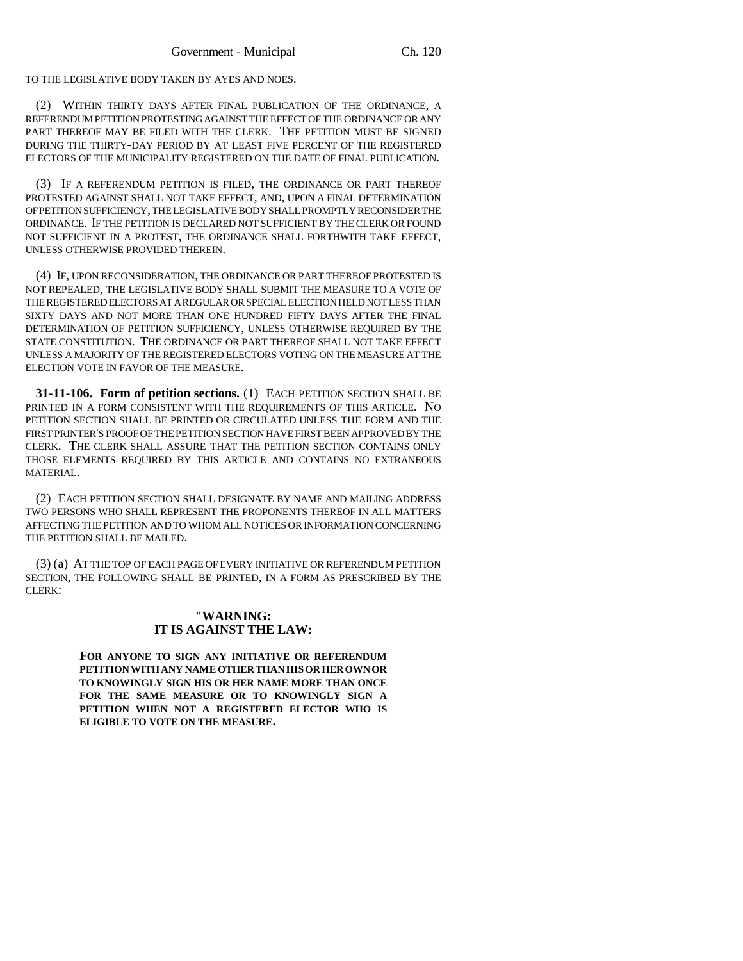TO THE LEGISLATIVE BODY TAKEN BY AYES AND NOES.

(2) WITHIN THIRTY DAYS AFTER FINAL PUBLICATION OF THE ORDINANCE, A REFERENDUM PETITION PROTESTING AGAINST THE EFFECT OF THE ORDINANCE OR ANY PART THEREOF MAY BE FILED WITH THE CLERK. THE PETITION MUST BE SIGNED DURING THE THIRTY-DAY PERIOD BY AT LEAST FIVE PERCENT OF THE REGISTERED ELECTORS OF THE MUNICIPALITY REGISTERED ON THE DATE OF FINAL PUBLICATION.

(3) IF A REFERENDUM PETITION IS FILED, THE ORDINANCE OR PART THEREOF PROTESTED AGAINST SHALL NOT TAKE EFFECT, AND, UPON A FINAL DETERMINATION OF PETITION SUFFICIENCY, THE LEGISLATIVE BODY SHALL PROMPTLY RECONSIDER THE ORDINANCE. IF THE PETITION IS DECLARED NOT SUFFICIENT BY THE CLERK OR FOUND NOT SUFFICIENT IN A PROTEST, THE ORDINANCE SHALL FORTHWITH TAKE EFFECT, UNLESS OTHERWISE PROVIDED THEREIN.

(4) IF, UPON RECONSIDERATION, THE ORDINANCE OR PART THEREOF PROTESTED IS NOT REPEALED, THE LEGISLATIVE BODY SHALL SUBMIT THE MEASURE TO A VOTE OF THE REGISTERED ELECTORS AT A REGULAR OR SPECIAL ELECTION HELD NOT LESS THAN SIXTY DAYS AND NOT MORE THAN ONE HUNDRED FIFTY DAYS AFTER THE FINAL DETERMINATION OF PETITION SUFFICIENCY, UNLESS OTHERWISE REQUIRED BY THE STATE CONSTITUTION. THE ORDINANCE OR PART THEREOF SHALL NOT TAKE EFFECT UNLESS A MAJORITY OF THE REGISTERED ELECTORS VOTING ON THE MEASURE AT THE ELECTION VOTE IN FAVOR OF THE MEASURE.

**31-11-106. Form of petition sections.** (1) EACH PETITION SECTION SHALL BE PRINTED IN A FORM CONSISTENT WITH THE REQUIREMENTS OF THIS ARTICLE. NO PETITION SECTION SHALL BE PRINTED OR CIRCULATED UNLESS THE FORM AND THE FIRST PRINTER'S PROOF OF THE PETITION SECTION HAVE FIRST BEEN APPROVED BY THE CLERK. THE CLERK SHALL ASSURE THAT THE PETITION SECTION CONTAINS ONLY THOSE ELEMENTS REQUIRED BY THIS ARTICLE AND CONTAINS NO EXTRANEOUS MATERIAL.

(2) EACH PETITION SECTION SHALL DESIGNATE BY NAME AND MAILING ADDRESS TWO PERSONS WHO SHALL REPRESENT THE PROPONENTS THEREOF IN ALL MATTERS AFFECTING THE PETITION AND TO WHOM ALL NOTICES OR INFORMATION CONCERNING THE PETITION SHALL BE MAILED.

(3) (a) AT THE TOP OF EACH PAGE OF EVERY INITIATIVE OR REFERENDUM PETITION SECTION, THE FOLLOWING SHALL BE PRINTED, IN A FORM AS PRESCRIBED BY THE CLERK:

## **"WARNING: IT IS AGAINST THE LAW:**

**FOR ANYONE TO SIGN ANY INITIATIVE OR REFERENDUM PETITION WITH ANY NAME OTHER THAN HIS OR HER OWN OR TO KNOWINGLY SIGN HIS OR HER NAME MORE THAN ONCE FOR THE SAME MEASURE OR TO KNOWINGLY SIGN A PETITION WHEN NOT A REGISTERED ELECTOR WHO IS ELIGIBLE TO VOTE ON THE MEASURE.**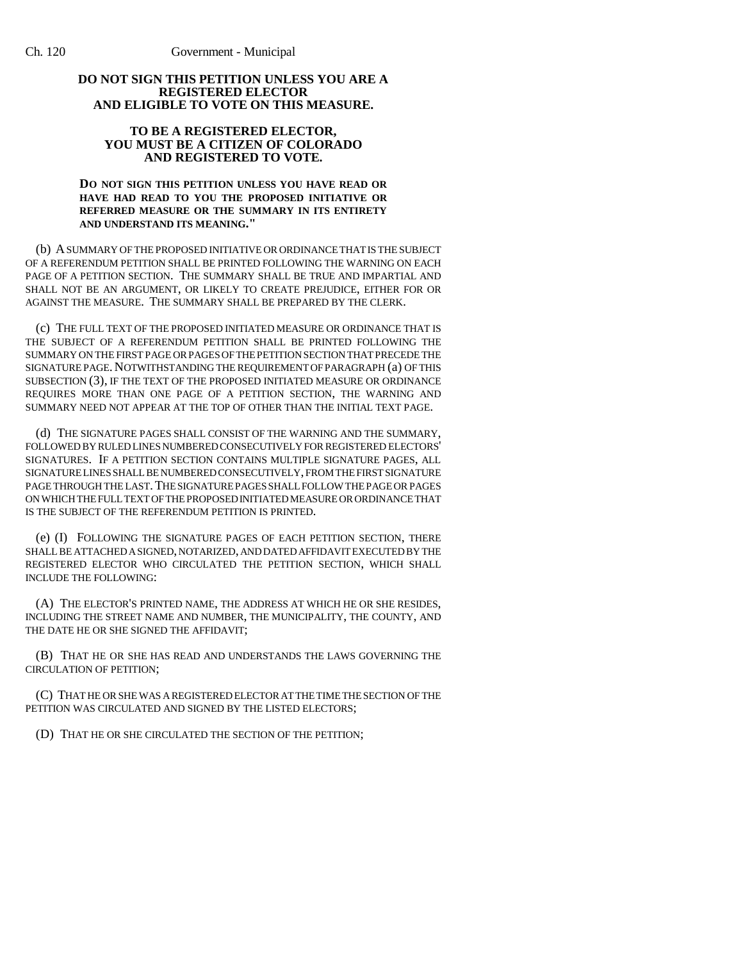## **DO NOT SIGN THIS PETITION UNLESS YOU ARE A REGISTERED ELECTOR AND ELIGIBLE TO VOTE ON THIS MEASURE.**

## **TO BE A REGISTERED ELECTOR, YOU MUST BE A CITIZEN OF COLORADO AND REGISTERED TO VOTE.**

## **DO NOT SIGN THIS PETITION UNLESS YOU HAVE READ OR HAVE HAD READ TO YOU THE PROPOSED INITIATIVE OR REFERRED MEASURE OR THE SUMMARY IN ITS ENTIRETY AND UNDERSTAND ITS MEANING."**

(b) A SUMMARY OF THE PROPOSED INITIATIVE OR ORDINANCE THAT IS THE SUBJECT OF A REFERENDUM PETITION SHALL BE PRINTED FOLLOWING THE WARNING ON EACH PAGE OF A PETITION SECTION. THE SUMMARY SHALL BE TRUE AND IMPARTIAL AND SHALL NOT BE AN ARGUMENT, OR LIKELY TO CREATE PREJUDICE, EITHER FOR OR AGAINST THE MEASURE. THE SUMMARY SHALL BE PREPARED BY THE CLERK.

(c) THE FULL TEXT OF THE PROPOSED INITIATED MEASURE OR ORDINANCE THAT IS THE SUBJECT OF A REFERENDUM PETITION SHALL BE PRINTED FOLLOWING THE SUMMARY ON THE FIRST PAGE OR PAGES OF THE PETITION SECTION THAT PRECEDE THE SIGNATURE PAGE. NOTWITHSTANDING THE REQUIREMENT OF PARAGRAPH (a) OF THIS SUBSECTION (3), IF THE TEXT OF THE PROPOSED INITIATED MEASURE OR ORDINANCE REQUIRES MORE THAN ONE PAGE OF A PETITION SECTION, THE WARNING AND SUMMARY NEED NOT APPEAR AT THE TOP OF OTHER THAN THE INITIAL TEXT PAGE.

(d) THE SIGNATURE PAGES SHALL CONSIST OF THE WARNING AND THE SUMMARY, FOLLOWED BY RULED LINES NUMBERED CONSECUTIVELY FOR REGISTERED ELECTORS' SIGNATURES. IF A PETITION SECTION CONTAINS MULTIPLE SIGNATURE PAGES, ALL SIGNATURE LINES SHALL BE NUMBERED CONSECUTIVELY, FROM THE FIRST SIGNATURE PAGE THROUGH THE LAST. THE SIGNATURE PAGES SHALL FOLLOW THE PAGE OR PAGES ON WHICH THE FULL TEXT OF THE PROPOSED INITIATED MEASURE OR ORDINANCE THAT IS THE SUBJECT OF THE REFERENDUM PETITION IS PRINTED.

(e) (I) FOLLOWING THE SIGNATURE PAGES OF EACH PETITION SECTION, THERE SHALL BE ATTACHED A SIGNED, NOTARIZED, AND DATED AFFIDAVIT EXECUTED BY THE REGISTERED ELECTOR WHO CIRCULATED THE PETITION SECTION, WHICH SHALL INCLUDE THE FOLLOWING:

(A) THE ELECTOR'S PRINTED NAME, THE ADDRESS AT WHICH HE OR SHE RESIDES, INCLUDING THE STREET NAME AND NUMBER, THE MUNICIPALITY, THE COUNTY, AND THE DATE HE OR SHE SIGNED THE AFFIDAVIT;

(B) THAT HE OR SHE HAS READ AND UNDERSTANDS THE LAWS GOVERNING THE CIRCULATION OF PETITION;

(C) THAT HE OR SHE WAS A REGISTERED ELECTOR AT THE TIME THE SECTION OF THE PETITION WAS CIRCULATED AND SIGNED BY THE LISTED ELECTORS;

(D) THAT HE OR SHE CIRCULATED THE SECTION OF THE PETITION;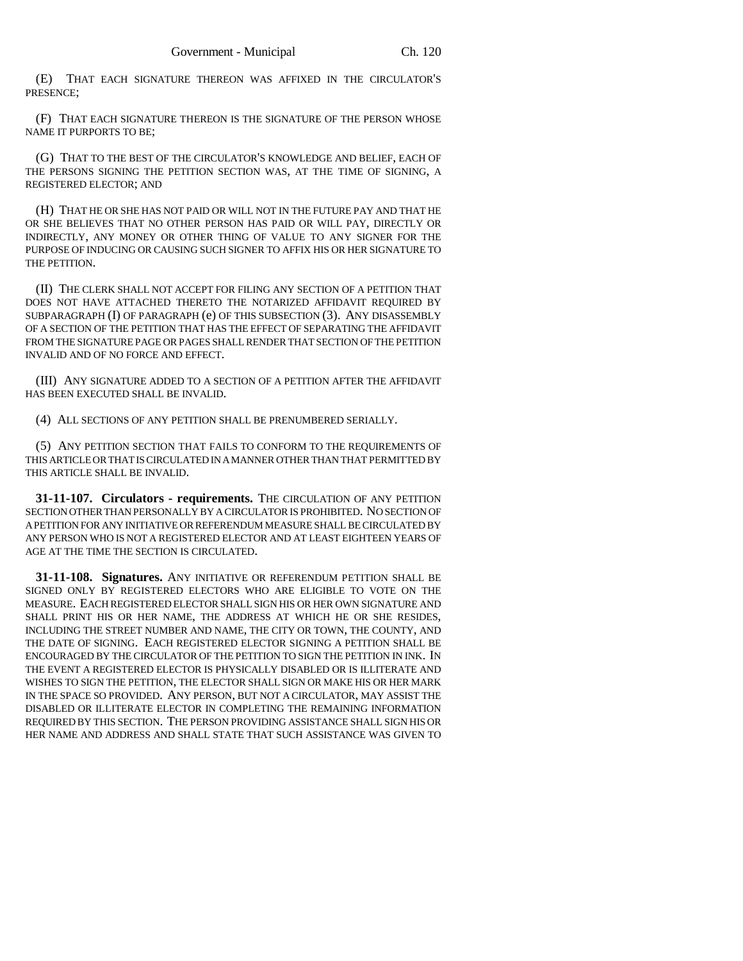(E) THAT EACH SIGNATURE THEREON WAS AFFIXED IN THE CIRCULATOR'S PRESENCE;

(F) THAT EACH SIGNATURE THEREON IS THE SIGNATURE OF THE PERSON WHOSE NAME IT PURPORTS TO BE;

(G) THAT TO THE BEST OF THE CIRCULATOR'S KNOWLEDGE AND BELIEF, EACH OF THE PERSONS SIGNING THE PETITION SECTION WAS, AT THE TIME OF SIGNING, A REGISTERED ELECTOR; AND

(H) THAT HE OR SHE HAS NOT PAID OR WILL NOT IN THE FUTURE PAY AND THAT HE OR SHE BELIEVES THAT NO OTHER PERSON HAS PAID OR WILL PAY, DIRECTLY OR INDIRECTLY, ANY MONEY OR OTHER THING OF VALUE TO ANY SIGNER FOR THE PURPOSE OF INDUCING OR CAUSING SUCH SIGNER TO AFFIX HIS OR HER SIGNATURE TO THE PETITION.

(II) THE CLERK SHALL NOT ACCEPT FOR FILING ANY SECTION OF A PETITION THAT DOES NOT HAVE ATTACHED THERETO THE NOTARIZED AFFIDAVIT REQUIRED BY SUBPARAGRAPH (I) OF PARAGRAPH (e) OF THIS SUBSECTION (3). ANY DISASSEMBLY OF A SECTION OF THE PETITION THAT HAS THE EFFECT OF SEPARATING THE AFFIDAVIT FROM THE SIGNATURE PAGE OR PAGES SHALL RENDER THAT SECTION OF THE PETITION INVALID AND OF NO FORCE AND EFFECT.

(III) ANY SIGNATURE ADDED TO A SECTION OF A PETITION AFTER THE AFFIDAVIT HAS BEEN EXECUTED SHALL BE INVALID.

(4) ALL SECTIONS OF ANY PETITION SHALL BE PRENUMBERED SERIALLY.

(5) ANY PETITION SECTION THAT FAILS TO CONFORM TO THE REQUIREMENTS OF THIS ARTICLE OR THAT IS CIRCULATED IN A MANNER OTHER THAN THAT PERMITTED BY THIS ARTICLE SHALL BE INVALID.

**31-11-107. Circulators - requirements.** THE CIRCULATION OF ANY PETITION SECTION OTHER THAN PERSONALLY BY A CIRCULATOR IS PROHIBITED. NO SECTION OF A PETITION FOR ANY INITIATIVE OR REFERENDUM MEASURE SHALL BE CIRCULATED BY ANY PERSON WHO IS NOT A REGISTERED ELECTOR AND AT LEAST EIGHTEEN YEARS OF AGE AT THE TIME THE SECTION IS CIRCULATED.

**31-11-108. Signatures.** ANY INITIATIVE OR REFERENDUM PETITION SHALL BE SIGNED ONLY BY REGISTERED ELECTORS WHO ARE ELIGIBLE TO VOTE ON THE MEASURE. EACH REGISTERED ELECTOR SHALL SIGN HIS OR HER OWN SIGNATURE AND SHALL PRINT HIS OR HER NAME, THE ADDRESS AT WHICH HE OR SHE RESIDES, INCLUDING THE STREET NUMBER AND NAME, THE CITY OR TOWN, THE COUNTY, AND THE DATE OF SIGNING. EACH REGISTERED ELECTOR SIGNING A PETITION SHALL BE ENCOURAGED BY THE CIRCULATOR OF THE PETITION TO SIGN THE PETITION IN INK. IN THE EVENT A REGISTERED ELECTOR IS PHYSICALLY DISABLED OR IS ILLITERATE AND WISHES TO SIGN THE PETITION, THE ELECTOR SHALL SIGN OR MAKE HIS OR HER MARK IN THE SPACE SO PROVIDED. ANY PERSON, BUT NOT A CIRCULATOR, MAY ASSIST THE DISABLED OR ILLITERATE ELECTOR IN COMPLETING THE REMAINING INFORMATION REQUIRED BY THIS SECTION. THE PERSON PROVIDING ASSISTANCE SHALL SIGN HIS OR HER NAME AND ADDRESS AND SHALL STATE THAT SUCH ASSISTANCE WAS GIVEN TO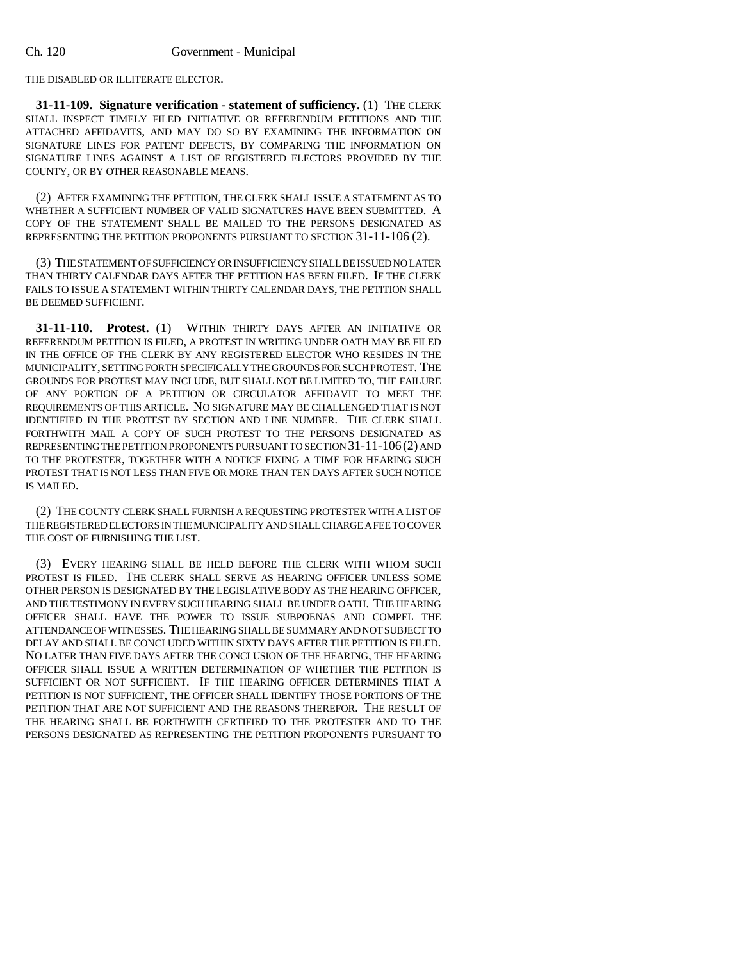THE DISABLED OR ILLITERATE ELECTOR.

**31-11-109. Signature verification - statement of sufficiency.** (1) THE CLERK SHALL INSPECT TIMELY FILED INITIATIVE OR REFERENDUM PETITIONS AND THE ATTACHED AFFIDAVITS, AND MAY DO SO BY EXAMINING THE INFORMATION ON SIGNATURE LINES FOR PATENT DEFECTS, BY COMPARING THE INFORMATION ON SIGNATURE LINES AGAINST A LIST OF REGISTERED ELECTORS PROVIDED BY THE COUNTY, OR BY OTHER REASONABLE MEANS.

(2) AFTER EXAMINING THE PETITION, THE CLERK SHALL ISSUE A STATEMENT AS TO WHETHER A SUFFICIENT NUMBER OF VALID SIGNATURES HAVE BEEN SUBMITTED. A COPY OF THE STATEMENT SHALL BE MAILED TO THE PERSONS DESIGNATED AS REPRESENTING THE PETITION PROPONENTS PURSUANT TO SECTION 31-11-106 (2).

(3) THE STATEMENT OF SUFFICIENCY OR INSUFFICIENCY SHALL BE ISSUED NO LATER THAN THIRTY CALENDAR DAYS AFTER THE PETITION HAS BEEN FILED. IF THE CLERK FAILS TO ISSUE A STATEMENT WITHIN THIRTY CALENDAR DAYS, THE PETITION SHALL BE DEEMED SUFFICIENT.

**31-11-110. Protest.** (1) WITHIN THIRTY DAYS AFTER AN INITIATIVE OR REFERENDUM PETITION IS FILED, A PROTEST IN WRITING UNDER OATH MAY BE FILED IN THE OFFICE OF THE CLERK BY ANY REGISTERED ELECTOR WHO RESIDES IN THE MUNICIPALITY, SETTING FORTH SPECIFICALLY THE GROUNDS FOR SUCH PROTEST. THE GROUNDS FOR PROTEST MAY INCLUDE, BUT SHALL NOT BE LIMITED TO, THE FAILURE OF ANY PORTION OF A PETITION OR CIRCULATOR AFFIDAVIT TO MEET THE REQUIREMENTS OF THIS ARTICLE. NO SIGNATURE MAY BE CHALLENGED THAT IS NOT IDENTIFIED IN THE PROTEST BY SECTION AND LINE NUMBER. THE CLERK SHALL FORTHWITH MAIL A COPY OF SUCH PROTEST TO THE PERSONS DESIGNATED AS REPRESENTING THE PETITION PROPONENTS PURSUANT TO SECTION 31-11-106(2) AND TO THE PROTESTER, TOGETHER WITH A NOTICE FIXING A TIME FOR HEARING SUCH PROTEST THAT IS NOT LESS THAN FIVE OR MORE THAN TEN DAYS AFTER SUCH NOTICE IS MAILED.

(2) THE COUNTY CLERK SHALL FURNISH A REQUESTING PROTESTER WITH A LIST OF THE REGISTERED ELECTORS IN THE MUNICIPALITY AND SHALL CHARGE A FEE TO COVER THE COST OF FURNISHING THE LIST.

(3) EVERY HEARING SHALL BE HELD BEFORE THE CLERK WITH WHOM SUCH PROTEST IS FILED. THE CLERK SHALL SERVE AS HEARING OFFICER UNLESS SOME OTHER PERSON IS DESIGNATED BY THE LEGISLATIVE BODY AS THE HEARING OFFICER, AND THE TESTIMONY IN EVERY SUCH HEARING SHALL BE UNDER OATH. THE HEARING OFFICER SHALL HAVE THE POWER TO ISSUE SUBPOENAS AND COMPEL THE ATTENDANCE OF WITNESSES. THE HEARING SHALL BE SUMMARY AND NOT SUBJECT TO DELAY AND SHALL BE CONCLUDED WITHIN SIXTY DAYS AFTER THE PETITION IS FILED. NO LATER THAN FIVE DAYS AFTER THE CONCLUSION OF THE HEARING, THE HEARING OFFICER SHALL ISSUE A WRITTEN DETERMINATION OF WHETHER THE PETITION IS SUFFICIENT OR NOT SUFFICIENT. IF THE HEARING OFFICER DETERMINES THAT A PETITION IS NOT SUFFICIENT, THE OFFICER SHALL IDENTIFY THOSE PORTIONS OF THE PETITION THAT ARE NOT SUFFICIENT AND THE REASONS THEREFOR. THE RESULT OF THE HEARING SHALL BE FORTHWITH CERTIFIED TO THE PROTESTER AND TO THE PERSONS DESIGNATED AS REPRESENTING THE PETITION PROPONENTS PURSUANT TO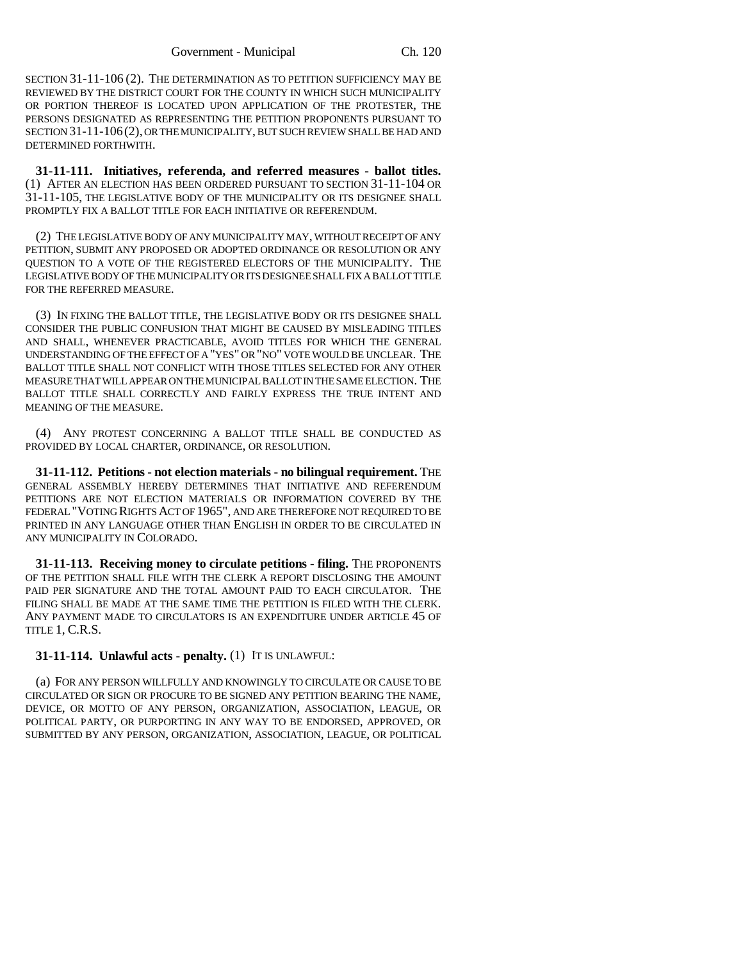SECTION 31-11-106 (2). THE DETERMINATION AS TO PETITION SUFFICIENCY MAY BE REVIEWED BY THE DISTRICT COURT FOR THE COUNTY IN WHICH SUCH MUNICIPALITY OR PORTION THEREOF IS LOCATED UPON APPLICATION OF THE PROTESTER, THE PERSONS DESIGNATED AS REPRESENTING THE PETITION PROPONENTS PURSUANT TO SECTION 31-11-106(2), OR THE MUNICIPALITY, BUT SUCH REVIEW SHALL BE HAD AND DETERMINED FORTHWITH.

**31-11-111. Initiatives, referenda, and referred measures - ballot titles.** (1) AFTER AN ELECTION HAS BEEN ORDERED PURSUANT TO SECTION 31-11-104 OR 31-11-105, THE LEGISLATIVE BODY OF THE MUNICIPALITY OR ITS DESIGNEE SHALL PROMPTLY FIX A BALLOT TITLE FOR EACH INITIATIVE OR REFERENDUM.

(2) THE LEGISLATIVE BODY OF ANY MUNICIPALITY MAY, WITHOUT RECEIPT OF ANY PETITION, SUBMIT ANY PROPOSED OR ADOPTED ORDINANCE OR RESOLUTION OR ANY QUESTION TO A VOTE OF THE REGISTERED ELECTORS OF THE MUNICIPALITY. THE LEGISLATIVE BODY OF THE MUNICIPALITY OR ITS DESIGNEE SHALL FIX A BALLOT TITLE FOR THE REFERRED MEASURE.

(3) IN FIXING THE BALLOT TITLE, THE LEGISLATIVE BODY OR ITS DESIGNEE SHALL CONSIDER THE PUBLIC CONFUSION THAT MIGHT BE CAUSED BY MISLEADING TITLES AND SHALL, WHENEVER PRACTICABLE, AVOID TITLES FOR WHICH THE GENERAL UNDERSTANDING OF THE EFFECT OF A "YES" OR "NO" VOTE WOULD BE UNCLEAR. THE BALLOT TITLE SHALL NOT CONFLICT WITH THOSE TITLES SELECTED FOR ANY OTHER MEASURE THAT WILL APPEAR ON THE MUNICIPAL BALLOT IN THE SAME ELECTION. THE BALLOT TITLE SHALL CORRECTLY AND FAIRLY EXPRESS THE TRUE INTENT AND MEANING OF THE MEASURE.

(4) ANY PROTEST CONCERNING A BALLOT TITLE SHALL BE CONDUCTED AS PROVIDED BY LOCAL CHARTER, ORDINANCE, OR RESOLUTION.

**31-11-112. Petitions - not election materials - no bilingual requirement.** THE GENERAL ASSEMBLY HEREBY DETERMINES THAT INITIATIVE AND REFERENDUM PETITIONS ARE NOT ELECTION MATERIALS OR INFORMATION COVERED BY THE FEDERAL "VOTING RIGHTS ACT OF 1965", AND ARE THEREFORE NOT REQUIRED TO BE PRINTED IN ANY LANGUAGE OTHER THAN ENGLISH IN ORDER TO BE CIRCULATED IN ANY MUNICIPALITY IN COLORADO.

**31-11-113. Receiving money to circulate petitions - filing.** THE PROPONENTS OF THE PETITION SHALL FILE WITH THE CLERK A REPORT DISCLOSING THE AMOUNT PAID PER SIGNATURE AND THE TOTAL AMOUNT PAID TO EACH CIRCULATOR. THE FILING SHALL BE MADE AT THE SAME TIME THE PETITION IS FILED WITH THE CLERK. ANY PAYMENT MADE TO CIRCULATORS IS AN EXPENDITURE UNDER ARTICLE 45 OF TITLE 1, C.R.S.

#### **31-11-114. Unlawful acts - penalty.** (1) IT IS UNLAWFUL:

(a) FOR ANY PERSON WILLFULLY AND KNOWINGLY TO CIRCULATE OR CAUSE TO BE CIRCULATED OR SIGN OR PROCURE TO BE SIGNED ANY PETITION BEARING THE NAME, DEVICE, OR MOTTO OF ANY PERSON, ORGANIZATION, ASSOCIATION, LEAGUE, OR POLITICAL PARTY, OR PURPORTING IN ANY WAY TO BE ENDORSED, APPROVED, OR SUBMITTED BY ANY PERSON, ORGANIZATION, ASSOCIATION, LEAGUE, OR POLITICAL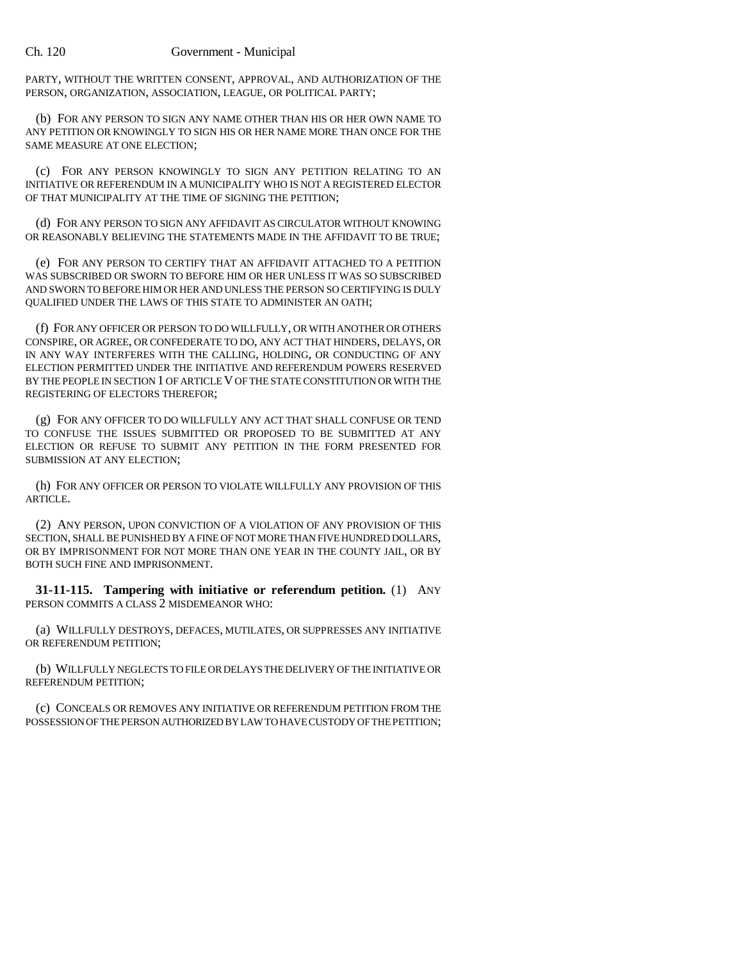PARTY, WITHOUT THE WRITTEN CONSENT, APPROVAL, AND AUTHORIZATION OF THE PERSON, ORGANIZATION, ASSOCIATION, LEAGUE, OR POLITICAL PARTY;

(b) FOR ANY PERSON TO SIGN ANY NAME OTHER THAN HIS OR HER OWN NAME TO ANY PETITION OR KNOWINGLY TO SIGN HIS OR HER NAME MORE THAN ONCE FOR THE SAME MEASURE AT ONE ELECTION;

(c) FOR ANY PERSON KNOWINGLY TO SIGN ANY PETITION RELATING TO AN INITIATIVE OR REFERENDUM IN A MUNICIPALITY WHO IS NOT A REGISTERED ELECTOR OF THAT MUNICIPALITY AT THE TIME OF SIGNING THE PETITION;

(d) FOR ANY PERSON TO SIGN ANY AFFIDAVIT AS CIRCULATOR WITHOUT KNOWING OR REASONABLY BELIEVING THE STATEMENTS MADE IN THE AFFIDAVIT TO BE TRUE;

(e) FOR ANY PERSON TO CERTIFY THAT AN AFFIDAVIT ATTACHED TO A PETITION WAS SUBSCRIBED OR SWORN TO BEFORE HIM OR HER UNLESS IT WAS SO SUBSCRIBED AND SWORN TO BEFORE HIM OR HER AND UNLESS THE PERSON SO CERTIFYING IS DULY QUALIFIED UNDER THE LAWS OF THIS STATE TO ADMINISTER AN OATH;

(f) FOR ANY OFFICER OR PERSON TO DO WILLFULLY, OR WITH ANOTHER OR OTHERS CONSPIRE, OR AGREE, OR CONFEDERATE TO DO, ANY ACT THAT HINDERS, DELAYS, OR IN ANY WAY INTERFERES WITH THE CALLING, HOLDING, OR CONDUCTING OF ANY ELECTION PERMITTED UNDER THE INITIATIVE AND REFERENDUM POWERS RESERVED BY THE PEOPLE IN SECTION 1 OF ARTICLE V OF THE STATE CONSTITUTION OR WITH THE REGISTERING OF ELECTORS THEREFOR;

(g) FOR ANY OFFICER TO DO WILLFULLY ANY ACT THAT SHALL CONFUSE OR TEND TO CONFUSE THE ISSUES SUBMITTED OR PROPOSED TO BE SUBMITTED AT ANY ELECTION OR REFUSE TO SUBMIT ANY PETITION IN THE FORM PRESENTED FOR SUBMISSION AT ANY ELECTION;

(h) FOR ANY OFFICER OR PERSON TO VIOLATE WILLFULLY ANY PROVISION OF THIS ARTICLE.

(2) ANY PERSON, UPON CONVICTION OF A VIOLATION OF ANY PROVISION OF THIS SECTION, SHALL BE PUNISHED BY A FINE OF NOT MORE THAN FIVE HUNDRED DOLLARS, OR BY IMPRISONMENT FOR NOT MORE THAN ONE YEAR IN THE COUNTY JAIL, OR BY BOTH SUCH FINE AND IMPRISONMENT.

**31-11-115. Tampering with initiative or referendum petition.** (1) ANY PERSON COMMITS A CLASS 2 MISDEMEANOR WHO:

(a) WILLFULLY DESTROYS, DEFACES, MUTILATES, OR SUPPRESSES ANY INITIATIVE OR REFERENDUM PETITION;

(b) WILLFULLY NEGLECTS TO FILE OR DELAYS THE DELIVERY OF THE INITIATIVE OR REFERENDUM PETITION;

(c) CONCEALS OR REMOVES ANY INITIATIVE OR REFERENDUM PETITION FROM THE POSSESSION OF THE PERSON AUTHORIZED BY LAW TO HAVE CUSTODY OF THE PETITION;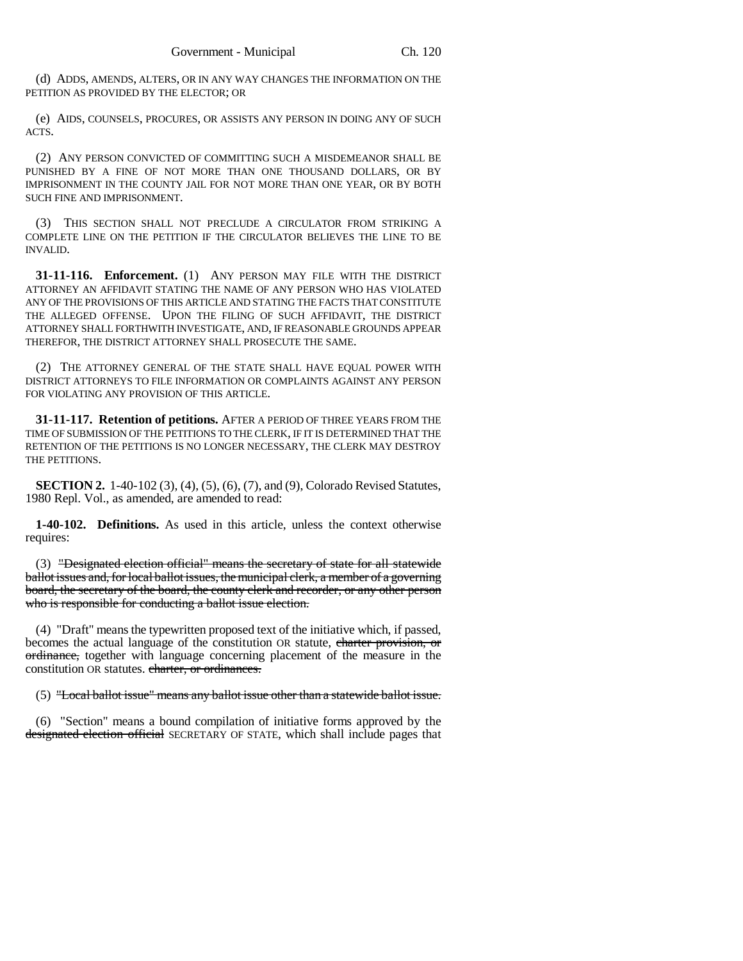(d) ADDS, AMENDS, ALTERS, OR IN ANY WAY CHANGES THE INFORMATION ON THE PETITION AS PROVIDED BY THE ELECTOR; OR

(e) AIDS, COUNSELS, PROCURES, OR ASSISTS ANY PERSON IN DOING ANY OF SUCH ACTS.

(2) ANY PERSON CONVICTED OF COMMITTING SUCH A MISDEMEANOR SHALL BE PUNISHED BY A FINE OF NOT MORE THAN ONE THOUSAND DOLLARS, OR BY IMPRISONMENT IN THE COUNTY JAIL FOR NOT MORE THAN ONE YEAR, OR BY BOTH SUCH FINE AND IMPRISONMENT.

(3) THIS SECTION SHALL NOT PRECLUDE A CIRCULATOR FROM STRIKING A COMPLETE LINE ON THE PETITION IF THE CIRCULATOR BELIEVES THE LINE TO BE INVALID.

**31-11-116. Enforcement.** (1) ANY PERSON MAY FILE WITH THE DISTRICT ATTORNEY AN AFFIDAVIT STATING THE NAME OF ANY PERSON WHO HAS VIOLATED ANY OF THE PROVISIONS OF THIS ARTICLE AND STATING THE FACTS THAT CONSTITUTE THE ALLEGED OFFENSE. UPON THE FILING OF SUCH AFFIDAVIT, THE DISTRICT ATTORNEY SHALL FORTHWITH INVESTIGATE, AND, IF REASONABLE GROUNDS APPEAR THEREFOR, THE DISTRICT ATTORNEY SHALL PROSECUTE THE SAME.

(2) THE ATTORNEY GENERAL OF THE STATE SHALL HAVE EQUAL POWER WITH DISTRICT ATTORNEYS TO FILE INFORMATION OR COMPLAINTS AGAINST ANY PERSON FOR VIOLATING ANY PROVISION OF THIS ARTICLE.

**31-11-117. Retention of petitions.** AFTER A PERIOD OF THREE YEARS FROM THE TIME OF SUBMISSION OF THE PETITIONS TO THE CLERK, IF IT IS DETERMINED THAT THE RETENTION OF THE PETITIONS IS NO LONGER NECESSARY, THE CLERK MAY DESTROY THE PETITIONS.

**SECTION 2.** 1-40-102 (3), (4), (5), (6), (7), and (9), Colorado Revised Statutes, 1980 Repl. Vol., as amended, are amended to read:

**1-40-102. Definitions.** As used in this article, unless the context otherwise requires:

(3) "Designated election official" means the secretary of state for all statewide ballot issues and, for local ballot issues, the municipal clerk, a member of a governing board, the secretary of the board, the county clerk and recorder, or any other person who is responsible for conducting a ballot issue election.

(4) "Draft" means the typewritten proposed text of the initiative which, if passed, becomes the actual language of the constitution OR statute, charter provision, or ordinance, together with language concerning placement of the measure in the constitution OR statutes. charter, or ordinances.

(5) "Local ballot issue" means any ballot issue other than a statewide ballot issue.

(6) "Section" means a bound compilation of initiative forms approved by the designated election official SECRETARY OF STATE, which shall include pages that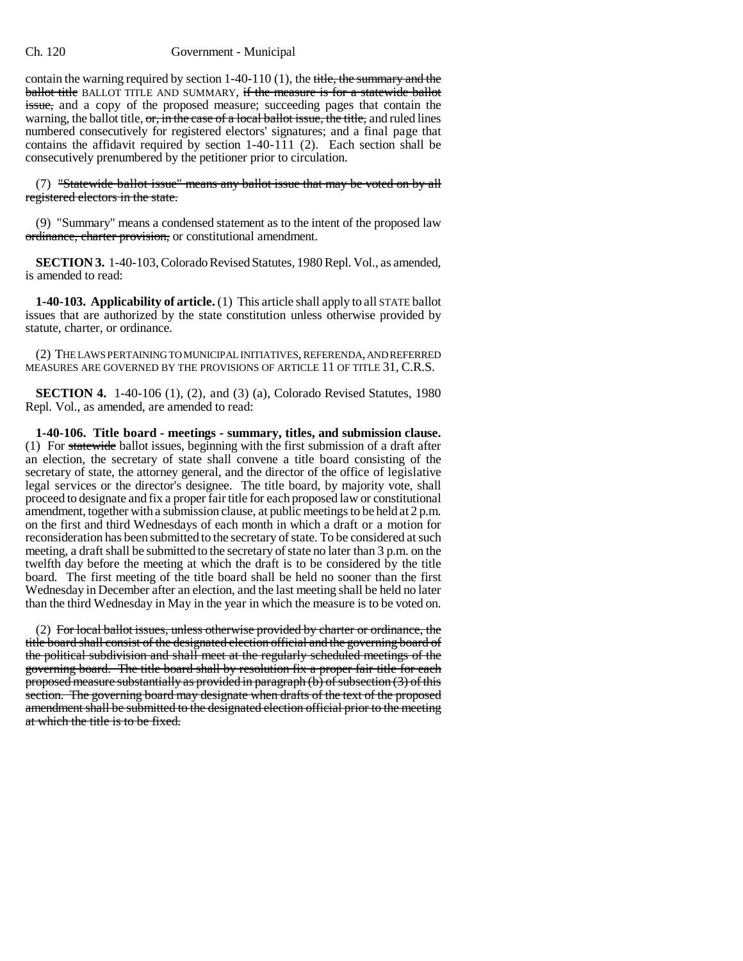contain the warning required by section  $1-40-110(1)$ , the title, the summary and the ballot title BALLOT TITLE AND SUMMARY, if the measure is for a statewide ballot issue, and a copy of the proposed measure; succeeding pages that contain the warning, the ballot title, or, in the case of a local ballot issue, the title, and ruled lines numbered consecutively for registered electors' signatures; and a final page that contains the affidavit required by section 1-40-111 (2). Each section shall be consecutively prenumbered by the petitioner prior to circulation.

(7) "Statewide ballot issue" means any ballot issue that may be voted on by all registered electors in the state.

(9) "Summary" means a condensed statement as to the intent of the proposed law ordinance, charter provision, or constitutional amendment.

**SECTION 3.** 1-40-103, Colorado Revised Statutes, 1980 Repl. Vol., as amended, is amended to read:

**1-40-103. Applicability of article.** (1) This article shall apply to all STATE ballot issues that are authorized by the state constitution unless otherwise provided by statute, charter, or ordinance.

(2) THE LAWS PERTAINING TO MUNICIPAL INITIATIVES, REFERENDA, AND REFERRED MEASURES ARE GOVERNED BY THE PROVISIONS OF ARTICLE 11 OF TITLE 31, C.R.S.

**SECTION 4.** 1-40-106 (1), (2), and (3) (a), Colorado Revised Statutes, 1980 Repl. Vol., as amended, are amended to read:

**1-40-106. Title board - meetings - summary, titles, and submission clause.** (1) For statewide ballot issues, beginning with the first submission of a draft after an election, the secretary of state shall convene a title board consisting of the secretary of state, the attorney general, and the director of the office of legislative legal services or the director's designee. The title board, by majority vote, shall proceed to designate and fix a proper fair title for each proposed law or constitutional amendment, together with a submission clause, at public meetings to be held at 2 p.m. on the first and third Wednesdays of each month in which a draft or a motion for reconsideration has been submitted to the secretary of state. To be considered at such meeting, a draft shall be submitted to the secretary of state no later than 3 p.m. on the twelfth day before the meeting at which the draft is to be considered by the title board. The first meeting of the title board shall be held no sooner than the first Wednesday in December after an election, and the last meeting shall be held no later than the third Wednesday in May in the year in which the measure is to be voted on.

(2) For local ballot issues, unless otherwise provided by charter or ordinance, the title board shall consist of the designated election official and the governing board of the political subdivision and shall meet at the regularly scheduled meetings of the governing board. The title board shall by resolution fix a proper fair title for each proposed measure substantially as provided in paragraph (b) of subsection (3) of this section. The governing board may designate when drafts of the text of the proposed amendment shall be submitted to the designated election official prior to the meeting at which the title is to be fixed.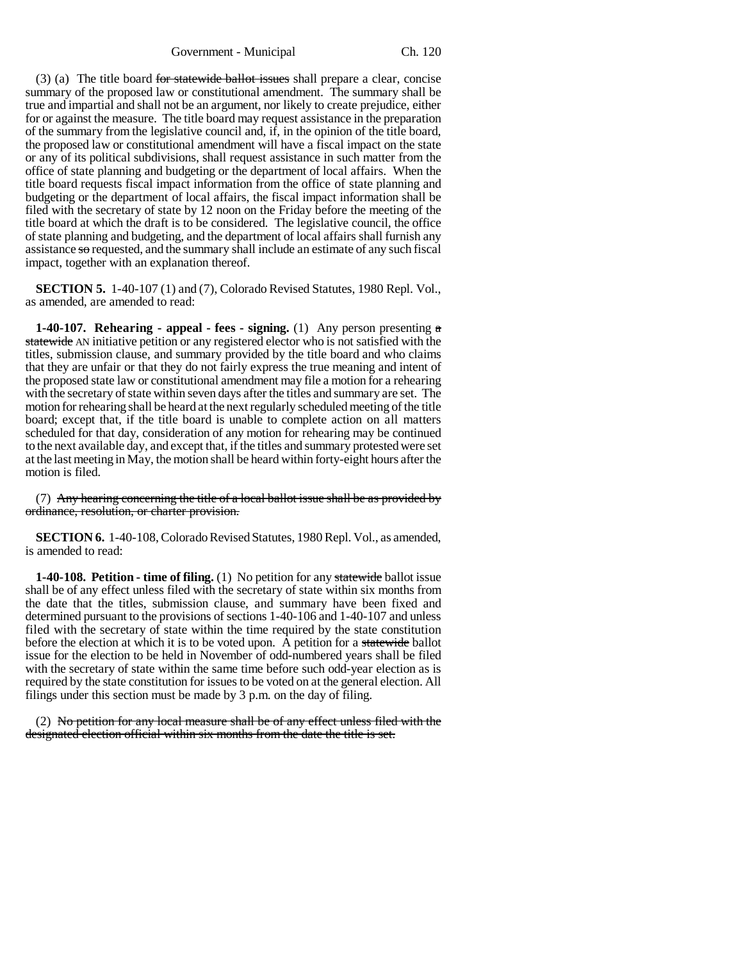$(3)$  (a) The title board for statewide ballot issues shall prepare a clear, concise summary of the proposed law or constitutional amendment. The summary shall be true and impartial and shall not be an argument, nor likely to create prejudice, either for or against the measure. The title board may request assistance in the preparation of the summary from the legislative council and, if, in the opinion of the title board, the proposed law or constitutional amendment will have a fiscal impact on the state or any of its political subdivisions, shall request assistance in such matter from the office of state planning and budgeting or the department of local affairs. When the title board requests fiscal impact information from the office of state planning and budgeting or the department of local affairs, the fiscal impact information shall be filed with the secretary of state by 12 noon on the Friday before the meeting of the title board at which the draft is to be considered. The legislative council, the office of state planning and budgeting, and the department of local affairs shall furnish any assistance so requested, and the summary shall include an estimate of any such fiscal impact, together with an explanation thereof.

**SECTION 5.** 1-40-107 (1) and (7), Colorado Revised Statutes, 1980 Repl. Vol., as amended, are amended to read:

**1-40-107. Rehearing - appeal - fees - signing.** (1) Any person presenting  $\alpha$ statewide AN initiative petition or any registered elector who is not satisfied with the titles, submission clause, and summary provided by the title board and who claims that they are unfair or that they do not fairly express the true meaning and intent of the proposed state law or constitutional amendment may file a motion for a rehearing with the secretary of state within seven days after the titles and summary are set. The motion for rehearing shall be heard at the next regularly scheduled meeting of the title board; except that, if the title board is unable to complete action on all matters scheduled for that day, consideration of any motion for rehearing may be continued to the next available day, and except that, if the titles and summary protested were set at the last meeting in May, the motion shall be heard within forty-eight hours after the motion is filed.

(7) Any hearing concerning the title of a local ballot issue shall be as provided by ordinance, resolution, or charter provision.

**SECTION 6.** 1-40-108, Colorado Revised Statutes, 1980 Repl. Vol., as amended, is amended to read:

**1-40-108. Petition - time of filing.** (1) No petition for any statewide ballot issue shall be of any effect unless filed with the secretary of state within six months from the date that the titles, submission clause, and summary have been fixed and determined pursuant to the provisions of sections 1-40-106 and 1-40-107 and unless filed with the secretary of state within the time required by the state constitution before the election at which it is to be voted upon. A petition for a statewide ballot issue for the election to be held in November of odd-numbered years shall be filed with the secretary of state within the same time before such odd-year election as is required by the state constitution for issues to be voted on at the general election. All filings under this section must be made by 3 p.m. on the day of filing.

(2) No petition for any local measure shall be of any effect unless filed with the designated election official within six months from the date the title is set.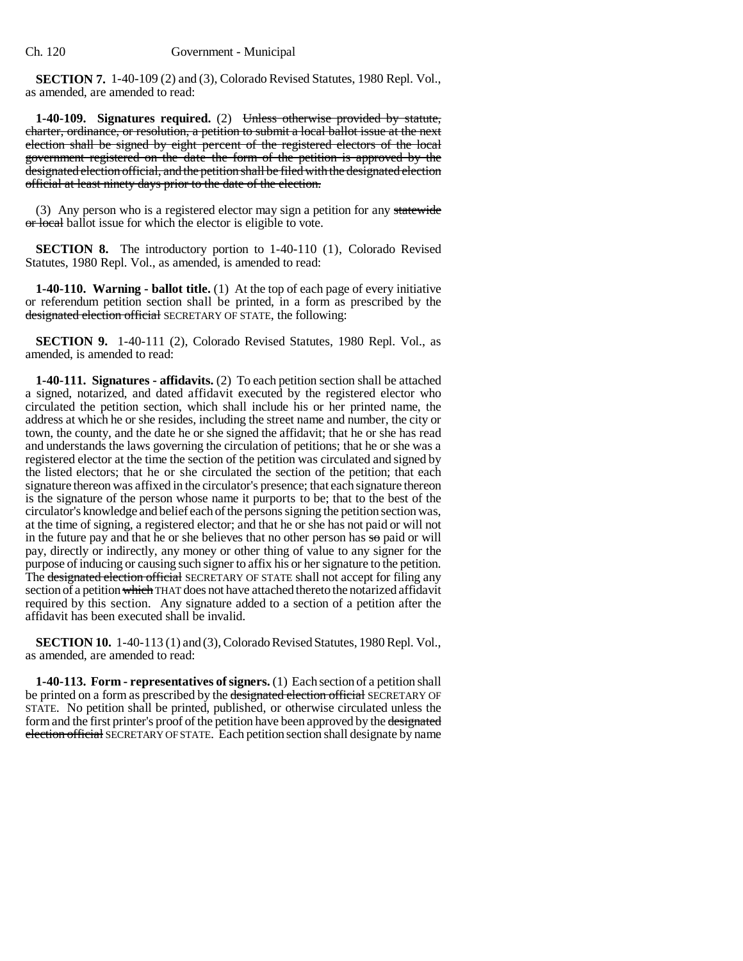**SECTION 7.** 1-40-109 (2) and (3), Colorado Revised Statutes, 1980 Repl. Vol., as amended, are amended to read:

**1-40-109. Signatures required.** (2) Unless otherwise provided by statute, charter, ordinance, or resolution, a petition to submit a local ballot issue at the next election shall be signed by eight percent of the registered electors of the local government registered on the date the form of the petition is approved by the designated election official, and the petition shall be filed with the designated election official at least ninety days prior to the date of the election.

(3) Any person who is a registered elector may sign a petition for any statewide or local ballot issue for which the elector is eligible to vote.

**SECTION 8.** The introductory portion to 1-40-110 (1), Colorado Revised Statutes, 1980 Repl. Vol., as amended, is amended to read:

**1-40-110. Warning - ballot title.** (1) At the top of each page of every initiative or referendum petition section shall be printed, in a form as prescribed by the designated election official SECRETARY OF STATE, the following:

**SECTION 9.** 1-40-111 (2), Colorado Revised Statutes, 1980 Repl. Vol., as amended, is amended to read:

**1-40-111. Signatures - affidavits.** (2) To each petition section shall be attached a signed, notarized, and dated affidavit executed by the registered elector who circulated the petition section, which shall include his or her printed name, the address at which he or she resides, including the street name and number, the city or town, the county, and the date he or she signed the affidavit; that he or she has read and understands the laws governing the circulation of petitions; that he or she was a registered elector at the time the section of the petition was circulated and signed by the listed electors; that he or she circulated the section of the petition; that each signature thereon was affixed in the circulator's presence; that each signature thereon is the signature of the person whose name it purports to be; that to the best of the circulator's knowledge and belief each of the persons signing the petition section was, at the time of signing, a registered elector; and that he or she has not paid or will not in the future pay and that he or she believes that no other person has so paid or will pay, directly or indirectly, any money or other thing of value to any signer for the purpose of inducing or causing such signer to affix his or her signature to the petition. The designated election official SECRETARY OF STATE shall not accept for filing any section of a petition which THAT does not have attached thereto the notarized affidavit required by this section. Any signature added to a section of a petition after the affidavit has been executed shall be invalid.

**SECTION 10.** 1-40-113 (1) and (3), Colorado Revised Statutes, 1980 Repl. Vol., as amended, are amended to read:

**1-40-113. Form - representatives of signers.** (1) Each section of a petition shall be printed on a form as prescribed by the designated election official SECRETARY OF STATE. No petition shall be printed, published, or otherwise circulated unless the form and the first printer's proof of the petition have been approved by the designated election official SECRETARY OF STATE. Each petition section shall designate by name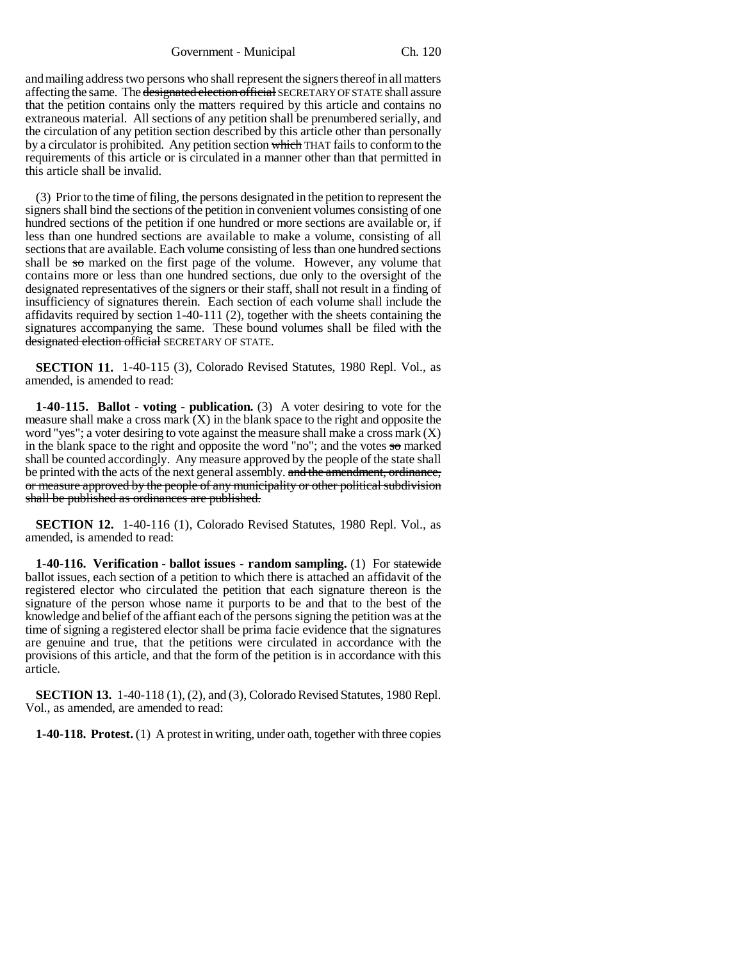Government - Municipal Ch. 120

and mailing address two persons who shall represent the signers thereof in all matters affecting the same. The designated election official SECRETARY OF STATE shall assure that the petition contains only the matters required by this article and contains no extraneous material. All sections of any petition shall be prenumbered serially, and the circulation of any petition section described by this article other than personally by a circulator is prohibited. Any petition section which THAT fails to conform to the requirements of this article or is circulated in a manner other than that permitted in this article shall be invalid.

(3) Prior to the time of filing, the persons designated in the petition to represent the signers shall bind the sections of the petition in convenient volumes consisting of one hundred sections of the petition if one hundred or more sections are available or, if less than one hundred sections are available to make a volume, consisting of all sections that are available. Each volume consisting of less than one hundred sections shall be so marked on the first page of the volume. However, any volume that contains more or less than one hundred sections, due only to the oversight of the designated representatives of the signers or their staff, shall not result in a finding of insufficiency of signatures therein. Each section of each volume shall include the affidavits required by section 1-40-111 (2), together with the sheets containing the signatures accompanying the same. These bound volumes shall be filed with the designated election official SECRETARY OF STATE.

**SECTION 11.** 1-40-115 (3), Colorado Revised Statutes, 1980 Repl. Vol., as amended, is amended to read:

**1-40-115. Ballot - voting - publication.** (3) A voter desiring to vote for the measure shall make a cross mark  $(X)$  in the blank space to the right and opposite the word "yes"; a voter desiring to vote against the measure shall make a cross mark (X) in the blank space to the right and opposite the word "no"; and the votes so marked shall be counted accordingly. Any measure approved by the people of the state shall be printed with the acts of the next general assembly. and the amendment, ordinance, or measure approved by the people of any municipality or other political subdivision shall be published as ordinances are published.

**SECTION 12.** 1-40-116 (1), Colorado Revised Statutes, 1980 Repl. Vol., as amended, is amended to read:

**1-40-116. Verification - ballot issues - random sampling.** (1) For statewide ballot issues, each section of a petition to which there is attached an affidavit of the registered elector who circulated the petition that each signature thereon is the signature of the person whose name it purports to be and that to the best of the knowledge and belief of the affiant each of the persons signing the petition was at the time of signing a registered elector shall be prima facie evidence that the signatures are genuine and true, that the petitions were circulated in accordance with the provisions of this article, and that the form of the petition is in accordance with this article.

**SECTION 13.** 1-40-118 (1), (2), and (3), Colorado Revised Statutes, 1980 Repl. Vol., as amended, are amended to read:

**1-40-118. Protest.** (1) A protest in writing, under oath, together with three copies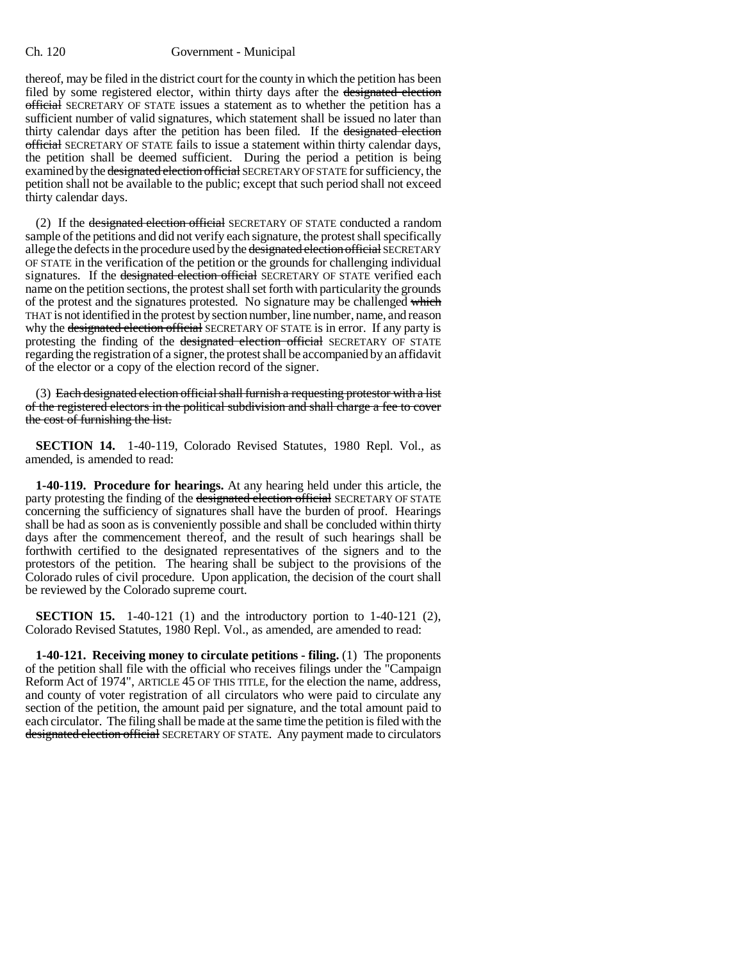thereof, may be filed in the district court for the county in which the petition has been filed by some registered elector, within thirty days after the designated election official SECRETARY OF STATE issues a statement as to whether the petition has a sufficient number of valid signatures, which statement shall be issued no later than thirty calendar days after the petition has been filed. If the designated election official SECRETARY OF STATE fails to issue a statement within thirty calendar days, the petition shall be deemed sufficient. During the period a petition is being examined by the designated election official SECRETARY OF STATE for sufficiency, the petition shall not be available to the public; except that such period shall not exceed thirty calendar days.

(2) If the designated election official SECRETARY OF STATE conducted a random sample of the petitions and did not verify each signature, the protest shall specifically allege the defects in the procedure used by the designated election official SECRETARY OF STATE in the verification of the petition or the grounds for challenging individual signatures. If the designated election official SECRETARY OF STATE verified each name on the petition sections, the protest shall set forth with particularity the grounds of the protest and the signatures protested. No signature may be challenged which THAT is not identified in the protest by section number, line number, name, and reason why the designated election official SECRETARY OF STATE is in error. If any party is protesting the finding of the designated election official SECRETARY OF STATE regarding the registration of a signer, the protest shall be accompanied by an affidavit of the elector or a copy of the election record of the signer.

(3) Each designated election official shall furnish a requesting protestor with a list of the registered electors in the political subdivision and shall charge a fee to cover the cost of furnishing the list.

**SECTION 14.** 1-40-119, Colorado Revised Statutes, 1980 Repl. Vol., as amended, is amended to read:

**1-40-119. Procedure for hearings.** At any hearing held under this article, the party protesting the finding of the designated election official SECRETARY OF STATE concerning the sufficiency of signatures shall have the burden of proof. Hearings shall be had as soon as is conveniently possible and shall be concluded within thirty days after the commencement thereof, and the result of such hearings shall be forthwith certified to the designated representatives of the signers and to the protestors of the petition. The hearing shall be subject to the provisions of the Colorado rules of civil procedure. Upon application, the decision of the court shall be reviewed by the Colorado supreme court.

**SECTION 15.** 1-40-121 (1) and the introductory portion to 1-40-121 (2), Colorado Revised Statutes, 1980 Repl. Vol., as amended, are amended to read:

**1-40-121. Receiving money to circulate petitions - filing.** (1) The proponents of the petition shall file with the official who receives filings under the "Campaign Reform Act of 1974", ARTICLE 45 OF THIS TITLE, for the election the name, address, and county of voter registration of all circulators who were paid to circulate any section of the petition, the amount paid per signature, and the total amount paid to each circulator. The filing shall be made at the same time the petition is filed with the designated election official SECRETARY OF STATE. Any payment made to circulators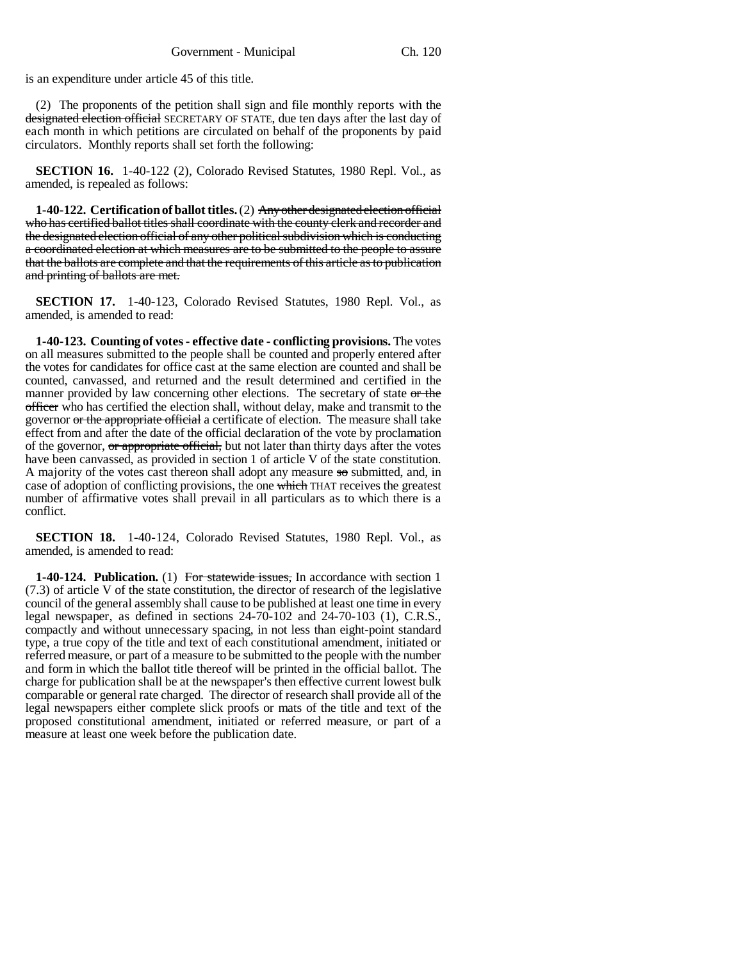is an expenditure under article 45 of this title.

(2) The proponents of the petition shall sign and file monthly reports with the designated election official SECRETARY OF STATE, due ten days after the last day of each month in which petitions are circulated on behalf of the proponents by paid circulators. Monthly reports shall set forth the following:

**SECTION 16.** 1-40-122 (2), Colorado Revised Statutes, 1980 Repl. Vol., as amended, is repealed as follows:

**1-40-122. Certification of ballot titles.** (2) Any other designated election official who has certified ballot titles shall coordinate with the county clerk and recorder and the designated election official of any other political subdivision which is conducting a coordinated election at which measures are to be submitted to the people to assure that the ballots are complete and that the requirements of this article as to publication and printing of ballots are met.

**SECTION 17.** 1-40-123, Colorado Revised Statutes, 1980 Repl. Vol., as amended, is amended to read:

**1-40-123. Counting of votes - effective date - conflicting provisions.** The votes on all measures submitted to the people shall be counted and properly entered after the votes for candidates for office cast at the same election are counted and shall be counted, canvassed, and returned and the result determined and certified in the manner provided by law concerning other elections. The secretary of state or the officer who has certified the election shall, without delay, make and transmit to the governor or the appropriate official a certificate of election. The measure shall take effect from and after the date of the official declaration of the vote by proclamation of the governor, or appropriate official, but not later than thirty days after the votes have been canvassed, as provided in section 1 of article V of the state constitution. A majority of the votes cast thereon shall adopt any measure so submitted, and, in case of adoption of conflicting provisions, the one which THAT receives the greatest number of affirmative votes shall prevail in all particulars as to which there is a conflict.

**SECTION 18.** 1-40-124, Colorado Revised Statutes, 1980 Repl. Vol., as amended, is amended to read:

**1-40-124. Publication.** (1) For statewide issues, In accordance with section 1 (7.3) of article V of the state constitution, the director of research of the legislative council of the general assembly shall cause to be published at least one time in every legal newspaper, as defined in sections 24-70-102 and 24-70-103 (1), C.R.S., compactly and without unnecessary spacing, in not less than eight-point standard type, a true copy of the title and text of each constitutional amendment, initiated or referred measure, or part of a measure to be submitted to the people with the number and form in which the ballot title thereof will be printed in the official ballot. The charge for publication shall be at the newspaper's then effective current lowest bulk comparable or general rate charged. The director of research shall provide all of the legal newspapers either complete slick proofs or mats of the title and text of the proposed constitutional amendment, initiated or referred measure, or part of a measure at least one week before the publication date.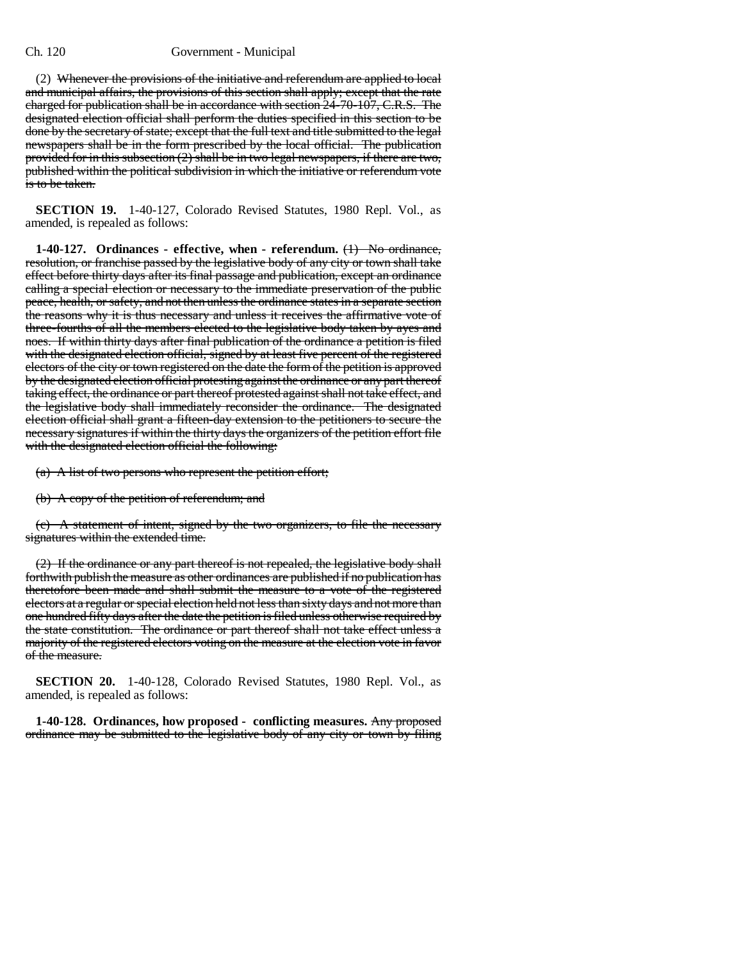(2) Whenever the provisions of the initiative and referendum are applied to local and municipal affairs, the provisions of this section shall apply; except that the rate charged for publication shall be in accordance with section 24-70-107, C.R.S. The designated election official shall perform the duties specified in this section to be done by the secretary of state; except that the full text and title submitted to the legal newspapers shall be in the form prescribed by the local official. The publication provided for in this subsection (2) shall be in two legal newspapers, if there are two, published within the political subdivision in which the initiative or referendum vote is to be taken.

**SECTION 19.** 1-40-127, Colorado Revised Statutes, 1980 Repl. Vol., as amended, is repealed as follows:

**1-40-127. Ordinances - effective, when - referendum.** (1) No ordinance, resolution, or franchise passed by the legislative body of any city or town shall take effect before thirty days after its final passage and publication, except an ordinance calling a special election or necessary to the immediate preservation of the public peace, health, or safety, and not then unless the ordinance states in a separate section the reasons why it is thus necessary and unless it receives the affirmative vote of three-fourths of all the members elected to the legislative body taken by ayes and noes. If within thirty days after final publication of the ordinance a petition is filed with the designated election official, signed by at least five percent of the registered electors of the city or town registered on the date the form of the petition is approved by the designated election official protesting against the ordinance or any part thereof taking effect, the ordinance or part thereof protested against shall not take effect, and the legislative body shall immediately reconsider the ordinance. The designated election official shall grant a fifteen-day extension to the petitioners to secure the necessary signatures if within the thirty days the organizers of the petition effort file with the designated election official the following:

(a) A list of two persons who represent the petition effort;

(b) A copy of the petition of referendum; and

(c) A statement of intent, signed by the two organizers, to file the necessary signatures within the extended time.

(2) If the ordinance or any part thereof is not repealed, the legislative body shall forthwith publish the measure as other ordinances are published if no publication has theretofore been made and shall submit the measure to a vote of the registered electors at a regular or special election held not less than sixty days and not more than one hundred fifty days after the date the petition is filed unless otherwise required by the state constitution. The ordinance or part thereof shall not take effect unless a majority of the registered electors voting on the measure at the election vote in favor of the measure.

**SECTION 20.** 1-40-128, Colorado Revised Statutes, 1980 Repl. Vol., as amended, is repealed as follows:

**1-40-128. Ordinances, how proposed - conflicting measures.** Any proposed ordinance may be submitted to the legislative body of any city or town by filing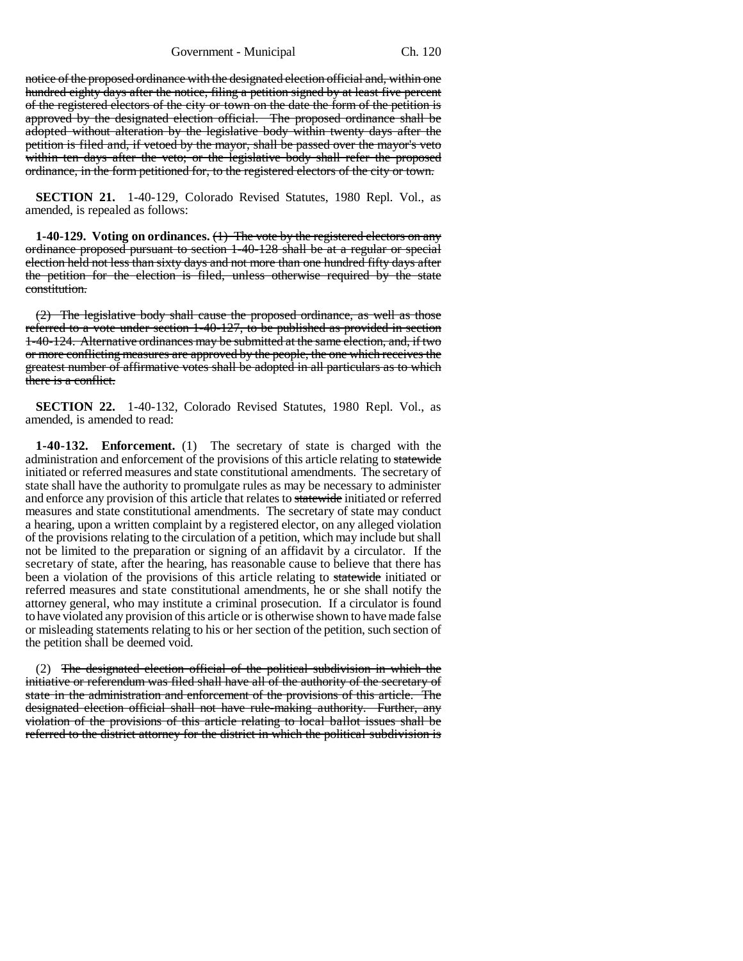Government - Municipal Ch. 120

notice of the proposed ordinance with the designated election official and, within one hundred eighty days after the notice, filing a petition signed by at least five percent of the registered electors of the city or town on the date the form of the petition is approved by the designated election official. The proposed ordinance shall be adopted without alteration by the legislative body within twenty days after the petition is filed and, if vetoed by the mayor, shall be passed over the mayor's veto within ten days after the veto; or the legislative body shall refer the proposed ordinance, in the form petitioned for, to the registered electors of the city or town.

**SECTION 21.** 1-40-129, Colorado Revised Statutes, 1980 Repl. Vol., as amended, is repealed as follows:

**1-40-129. Voting on ordinances.** (1) The vote by the registered electors on any ordinance proposed pursuant to section 1-40-128 shall be at a regular or special election held not less than sixty days and not more than one hundred fifty days after the petition for the election is filed, unless otherwise required by the state constitution.

(2) The legislative body shall cause the proposed ordinance, as well as those referred to a vote under section 1-40-127, to be published as provided in section 1-40-124. Alternative ordinances may be submitted at the same election, and, if two or more conflicting measures are approved by the people, the one which receives the greatest number of affirmative votes shall be adopted in all particulars as to which there is a conflict.

**SECTION 22.** 1-40-132, Colorado Revised Statutes, 1980 Repl. Vol., as amended, is amended to read:

**1-40-132. Enforcement.** (1) The secretary of state is charged with the administration and enforcement of the provisions of this article relating to statewide initiated or referred measures and state constitutional amendments. The secretary of state shall have the authority to promulgate rules as may be necessary to administer and enforce any provision of this article that relates to statewide initiated or referred measures and state constitutional amendments. The secretary of state may conduct a hearing, upon a written complaint by a registered elector, on any alleged violation of the provisions relating to the circulation of a petition, which may include but shall not be limited to the preparation or signing of an affidavit by a circulator. If the secretary of state, after the hearing, has reasonable cause to believe that there has been a violation of the provisions of this article relating to statewide initiated or referred measures and state constitutional amendments, he or she shall notify the attorney general, who may institute a criminal prosecution. If a circulator is found to have violated any provision of this article or is otherwise shown to have made false or misleading statements relating to his or her section of the petition, such section of the petition shall be deemed void.

(2) The designated election official of the political subdivision in which the initiative or referendum was filed shall have all of the authority of the secretary of state in the administration and enforcement of the provisions of this article. The designated election official shall not have rule-making authority. Further, any violation of the provisions of this article relating to local ballot issues shall be referred to the district attorney for the district in which the political subdivision is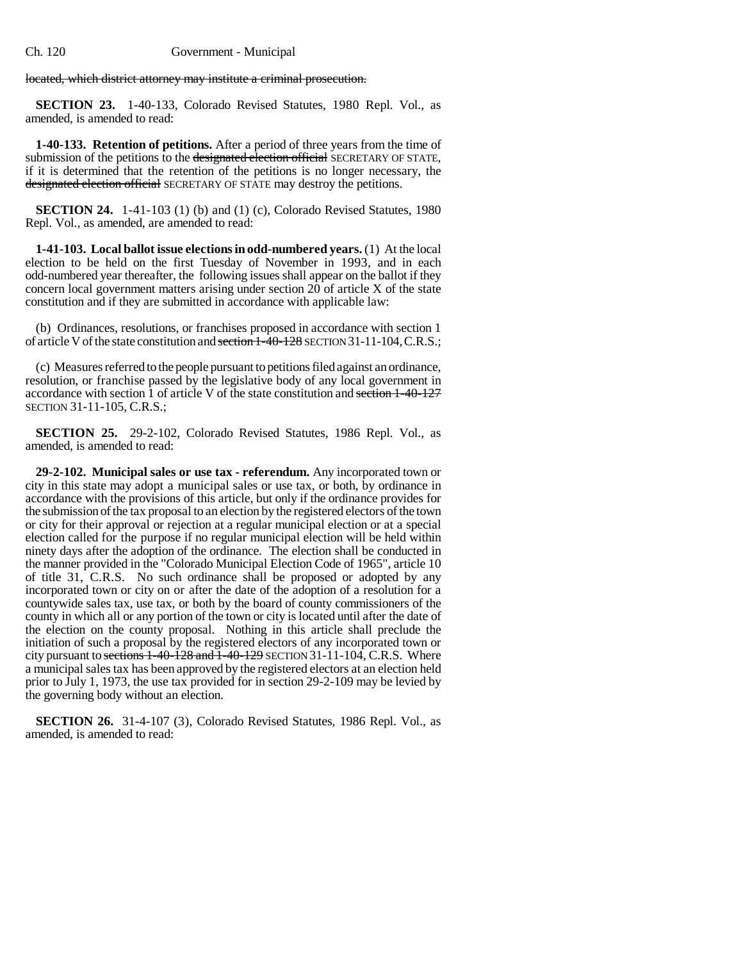located, which district attorney may institute a criminal prosecution.

**SECTION 23.** 1-40-133, Colorado Revised Statutes, 1980 Repl. Vol., as amended, is amended to read:

**1-40-133. Retention of petitions.** After a period of three years from the time of submission of the petitions to the designated election official SECRETARY OF STATE, if it is determined that the retention of the petitions is no longer necessary, the designated election official SECRETARY OF STATE may destroy the petitions.

**SECTION 24.** 1-41-103 (1) (b) and (1) (c), Colorado Revised Statutes, 1980 Repl. Vol., as amended, are amended to read:

**1-41-103. Local ballot issue elections in odd-numbered years.** (1) At the local election to be held on the first Tuesday of November in 1993, and in each odd-numbered year thereafter, the following issues shall appear on the ballot if they concern local government matters arising under section 20 of article X of the state constitution and if they are submitted in accordance with applicable law:

(b) Ordinances, resolutions, or franchises proposed in accordance with section 1 of article V of the state constitution and section 1-40-128 SECTION 31-11-104,C.R.S.;

(c) Measures referred to the people pursuant to petitions filed against an ordinance, resolution, or franchise passed by the legislative body of any local government in accordance with section 1 of article V of the state constitution and section 1-40-127 SECTION 31-11-105, C.R.S.;

**SECTION 25.** 29-2-102, Colorado Revised Statutes, 1986 Repl. Vol., as amended, is amended to read:

**29-2-102. Municipal sales or use tax - referendum.** Any incorporated town or city in this state may adopt a municipal sales or use tax, or both, by ordinance in accordance with the provisions of this article, but only if the ordinance provides for the submission of the tax proposal to an election by the registered electors of the town or city for their approval or rejection at a regular municipal election or at a special election called for the purpose if no regular municipal election will be held within ninety days after the adoption of the ordinance. The election shall be conducted in the manner provided in the "Colorado Municipal Election Code of 1965", article 10 of title 31, C.R.S. No such ordinance shall be proposed or adopted by any incorporated town or city on or after the date of the adoption of a resolution for a countywide sales tax, use tax, or both by the board of county commissioners of the county in which all or any portion of the town or city is located until after the date of the election on the county proposal. Nothing in this article shall preclude the initiation of such a proposal by the registered electors of any incorporated town or city pursuant to sections  $1-40-128$  and  $1-40-129$  SECTION 31-11-104, C.R.S. Where a municipal sales tax has been approved by the registered electors at an election held prior to July 1, 1973, the use tax provided for in section 29-2-109 may be levied by the governing body without an election.

**SECTION 26.** 31-4-107 (3), Colorado Revised Statutes, 1986 Repl. Vol., as amended, is amended to read: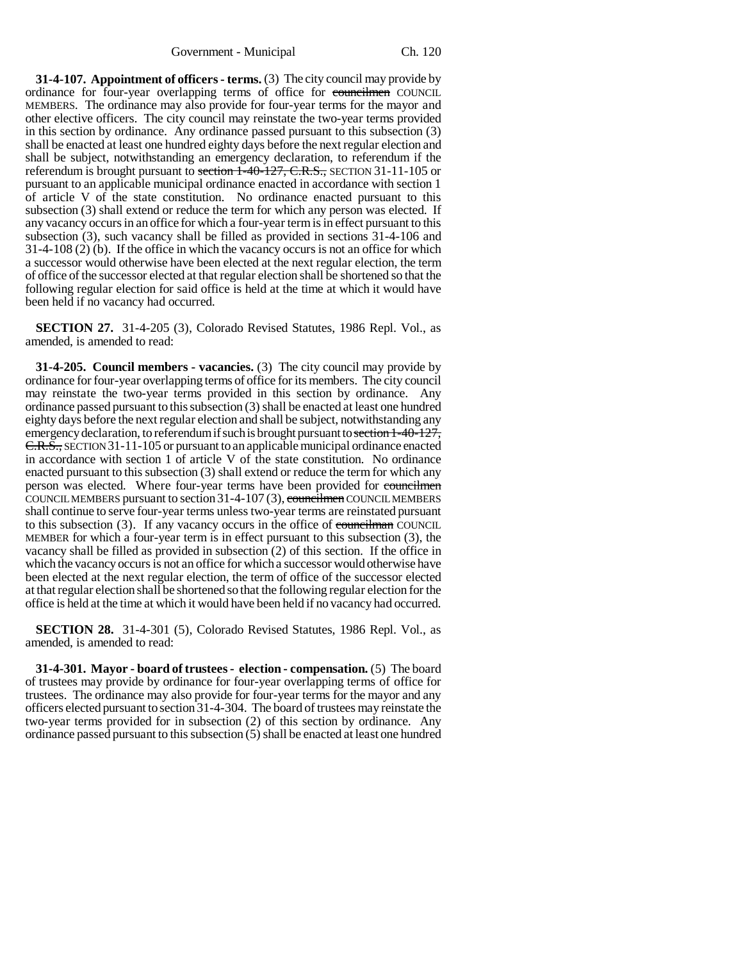**31-4-107. Appointment of officers - terms.** (3) The city council may provide by ordinance for four-year overlapping terms of office for councilmen COUNCIL MEMBERS. The ordinance may also provide for four-year terms for the mayor and other elective officers. The city council may reinstate the two-year terms provided in this section by ordinance. Any ordinance passed pursuant to this subsection (3) shall be enacted at least one hundred eighty days before the next regular election and shall be subject, notwithstanding an emergency declaration, to referendum if the referendum is brought pursuant to section 1-40-127, C.R.S., SECTION 31-11-105 or pursuant to an applicable municipal ordinance enacted in accordance with section 1 of article V of the state constitution. No ordinance enacted pursuant to this subsection (3) shall extend or reduce the term for which any person was elected. If any vacancy occurs in an office for which a four-year term is in effect pursuant to this subsection (3), such vacancy shall be filled as provided in sections 31-4-106 and 31-4-108 (2) (b). If the office in which the vacancy occurs is not an office for which a successor would otherwise have been elected at the next regular election, the term of office of the successor elected at that regular election shall be shortened so that the following regular election for said office is held at the time at which it would have been held if no vacancy had occurred.

**SECTION 27.** 31-4-205 (3), Colorado Revised Statutes, 1986 Repl. Vol., as amended, is amended to read:

**31-4-205. Council members - vacancies.** (3) The city council may provide by ordinance for four-year overlapping terms of office for its members. The city council may reinstate the two-year terms provided in this section by ordinance. Any ordinance passed pursuant to this subsection (3) shall be enacted at least one hundred eighty days before the next regular election and shall be subject, notwithstanding any emergency declaration, to referendum if such is brought pursuant to section 1-40-127, C.R.S., SECTION 31-11-105 or pursuant to an applicable municipal ordinance enacted in accordance with section 1 of article V of the state constitution. No ordinance enacted pursuant to this subsection (3) shall extend or reduce the term for which any person was elected. Where four-year terms have been provided for councilmen COUNCIL MEMBERS pursuant to section  $31-4-107$  (3), councilmen COUNCIL MEMBERS shall continue to serve four-year terms unless two-year terms are reinstated pursuant to this subsection (3). If any vacancy occurs in the office of councilman COUNCIL MEMBER for which a four-year term is in effect pursuant to this subsection (3), the vacancy shall be filled as provided in subsection (2) of this section. If the office in which the vacancy occurs is not an office for which a successor would otherwise have been elected at the next regular election, the term of office of the successor elected at that regular election shall be shortened so that the following regular election for the office is held at the time at which it would have been held if no vacancy had occurred.

**SECTION 28.** 31-4-301 (5), Colorado Revised Statutes, 1986 Repl. Vol., as amended, is amended to read:

**31-4-301. Mayor - board of trustees - election - compensation.** (5) The board of trustees may provide by ordinance for four-year overlapping terms of office for trustees. The ordinance may also provide for four-year terms for the mayor and any officers elected pursuant to section 31-4-304. The board of trustees may reinstate the two-year terms provided for in subsection (2) of this section by ordinance. Any ordinance passed pursuant to this subsection (5) shall be enacted at least one hundred